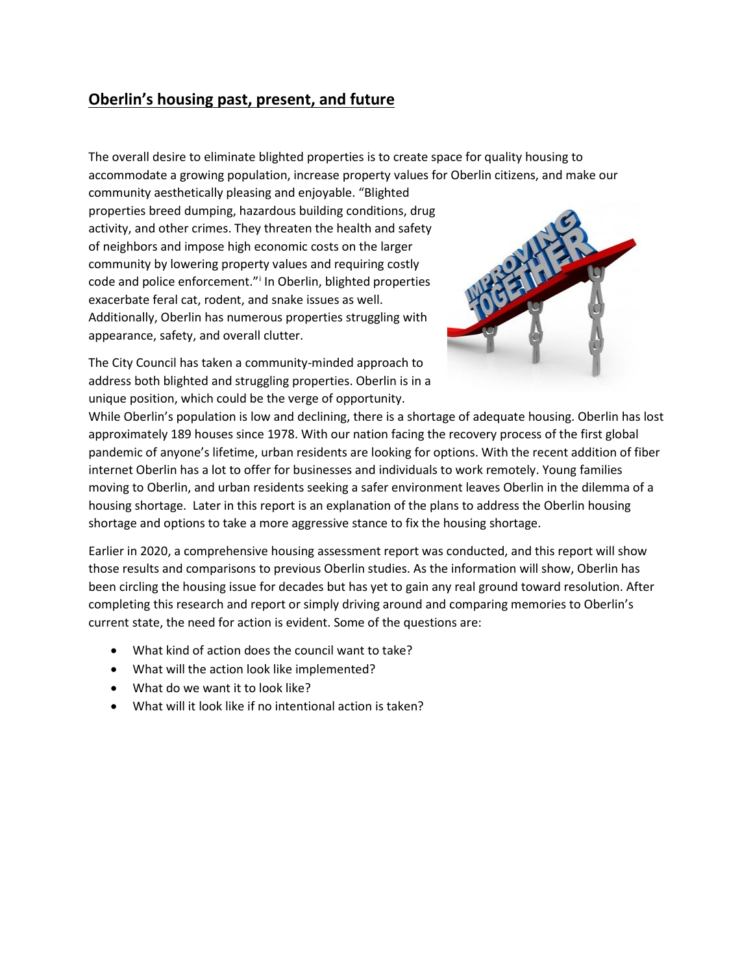## **Oberlin's housing past, present, and future**

The overall desire to eliminate blighted properties is to create space for quality housing to accommodate a growing population, increase property values for Oberlin citizens, and make our

community aesthetically pleasing and enjoyable. "Blighted properties breed dumping, hazardous building conditions, drug activity, and other crimes. They threaten the health and safety of neighbors and impose high economic costs on the larger community by lowering property values and requiring costly code and pol[i](#page-7-0)ce enforcement."<sup>i</sup> In Oberlin, blighted properties exacerbate feral cat, rodent, and snake issues as well. Additionally, Oberlin has numerous properties struggling with appearance, safety, and overall clutter.



The City Council has taken a community-minded approach to address both blighted and struggling properties. Oberlin is in a unique position, which could be the verge of opportunity.

While Oberlin's population is low and declining, there is a shortage of adequate housing. Oberlin has lost approximately 189 houses since 1978. With our nation facing the recovery process of the first global pandemic of anyone's lifetime, urban residents are looking for options. With the recent addition of fiber internet Oberlin has a lot to offer for businesses and individuals to work remotely. Young families moving to Oberlin, and urban residents seeking a safer environment leaves Oberlin in the dilemma of a housing shortage. Later in this report is an explanation of the plans to address the Oberlin housing shortage and options to take a more aggressive stance to fix the housing shortage.

Earlier in 2020, a comprehensive housing assessment report was conducted, and this report will show those results and comparisons to previous Oberlin studies. As the information will show, Oberlin has been circling the housing issue for decades but has yet to gain any real ground toward resolution. After completing this research and report or simply driving around and comparing memories to Oberlin's current state, the need for action is evident. Some of the questions are:

- What kind of action does the council want to take?
- What will the action look like implemented?
- What do we want it to look like?
- What will it look like if no intentional action is taken?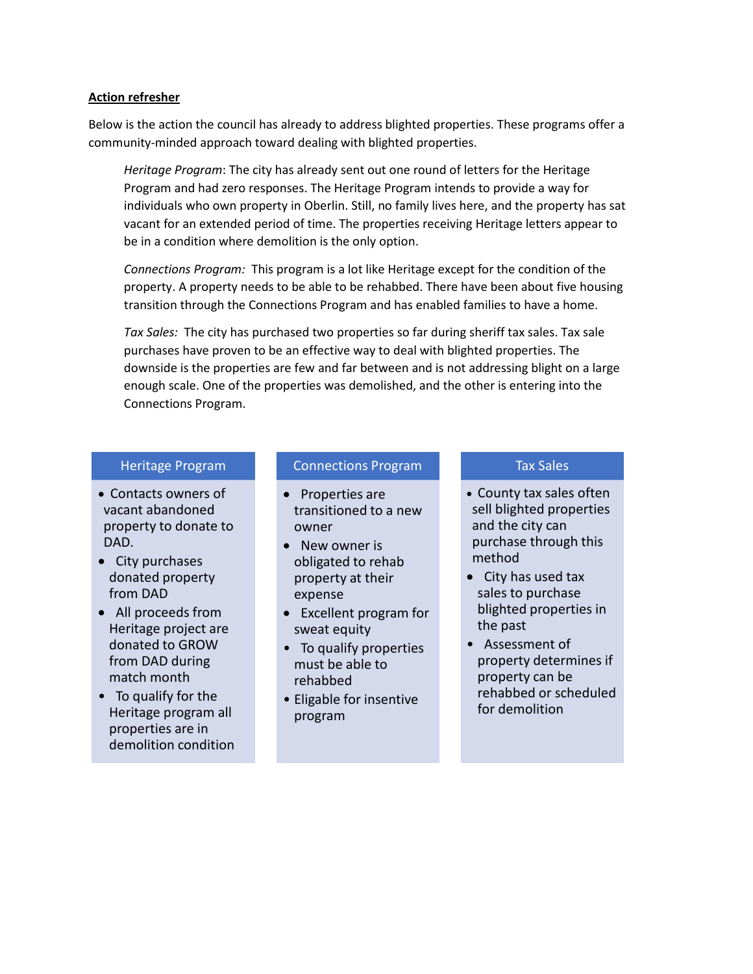#### **Action refresher**

Below is the action the council has already to address blighted properties. These programs offer a community-minded approach toward dealing with blighted properties.

*Heritage Program*: The city has already sent out one round of letters for the Heritage Program and had zero responses. The Heritage Program intends to provide a way for individuals who own property in Oberlin. Still, no family lives here, and the property has sat vacant for an extended period of time. The properties receiving Heritage letters appear to be in a condition where demolition is the only option.

*Connections Program:* This program is a lot like Heritage except for the condition of the property. A property needs to be able to be rehabbed. There have been about five housing transition through the Connections Program and has enabled families to have a home.

*Tax Sales:* The city has purchased two properties so far during sheriff tax sales. Tax sale purchases have proven to be an effective way to deal with blighted properties. The downside is the properties are few and far between and is not addressing blight on a large enough scale. One of the properties was demolished, and the other is entering into the Connections Program.

#### Heritage Program

- Contacts owners of vacant abandoned property to donate to DAD.
- City purchases donated property from DAD
- All proceeds from Heritage project are donated to GROW from DAD during match month
- To qualify for the Heritage program all properties are in demolition condition

#### Connections Program

- Properties are transitioned to a new owner
- New owner is obligated to rehab property at their expense
- Excellent program for sweat equity
- To qualify properties must be able to rehabbed
- Eligable for insentive program

#### Tax Sales

- County tax sales often sell blighted properties and the city can purchase through this method
- City has used tax sales to purchase blighted properties in the past
- Assessment of property determines if property can be rehabbed or scheduled for demolition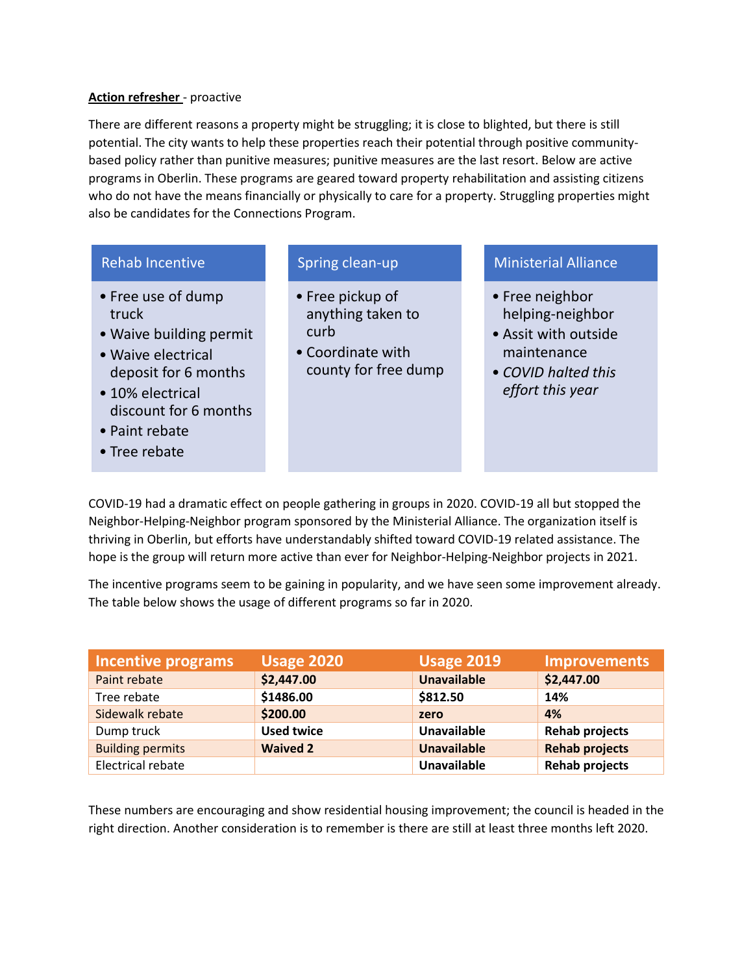#### **Action refresher** - proactive

There are different reasons a property might be struggling; it is close to blighted, but there is still potential. The city wants to help these properties reach their potential through positive communitybased policy rather than punitive measures; punitive measures are the last resort. Below are active programs in Oberlin. These programs are geared toward property rehabilitation and assisting citizens who do not have the means financially or physically to care for a property. Struggling properties might also be candidates for the Connections Program.

#### Rehab Incentive

- Free use of dump truck
- Waive building permit
- Waive electrical deposit for 6 months
- 10% electrical discount for 6 months
- Paint rebate
- Tree rebate

#### Spring clean-up

- Free pickup of anything taken to curb
- Coordinate with county for free dump

### Ministerial Alliance

- Free neighbor helping-neighbor
- Assit with outside maintenance
- *COVID halted this effort this year*

COVID-19 had a dramatic effect on people gathering in groups in 2020. COVID-19 all but stopped the Neighbor-Helping-Neighbor program sponsored by the Ministerial Alliance. The organization itself is thriving in Oberlin, but efforts have understandably shifted toward COVID-19 related assistance. The hope is the group will return more active than ever for Neighbor-Helping-Neighbor projects in 2021.

The incentive programs seem to be gaining in popularity, and we have seen some improvement already. The table below shows the usage of different programs so far in 2020.

| Incentive programs      | <b>Usage 2020</b> | <b>Usage 2019</b>  | <b>Improvements</b>   |
|-------------------------|-------------------|--------------------|-----------------------|
| Paint rebate            | \$2,447.00        | <b>Unavailable</b> | \$2,447.00            |
| Tree rebate             | \$1486.00         | \$812.50           | 14%                   |
| Sidewalk rebate         | \$200.00          | zero               | 4%                    |
| Dump truck              | <b>Used twice</b> | <b>Unavailable</b> | <b>Rehab projects</b> |
| <b>Building permits</b> | <b>Waived 2</b>   | <b>Unavailable</b> | <b>Rehab projects</b> |
| Electrical rebate       |                   | <b>Unavailable</b> | <b>Rehab projects</b> |

These numbers are encouraging and show residential housing improvement; the council is headed in the right direction. Another consideration is to remember is there are still at least three months left 2020.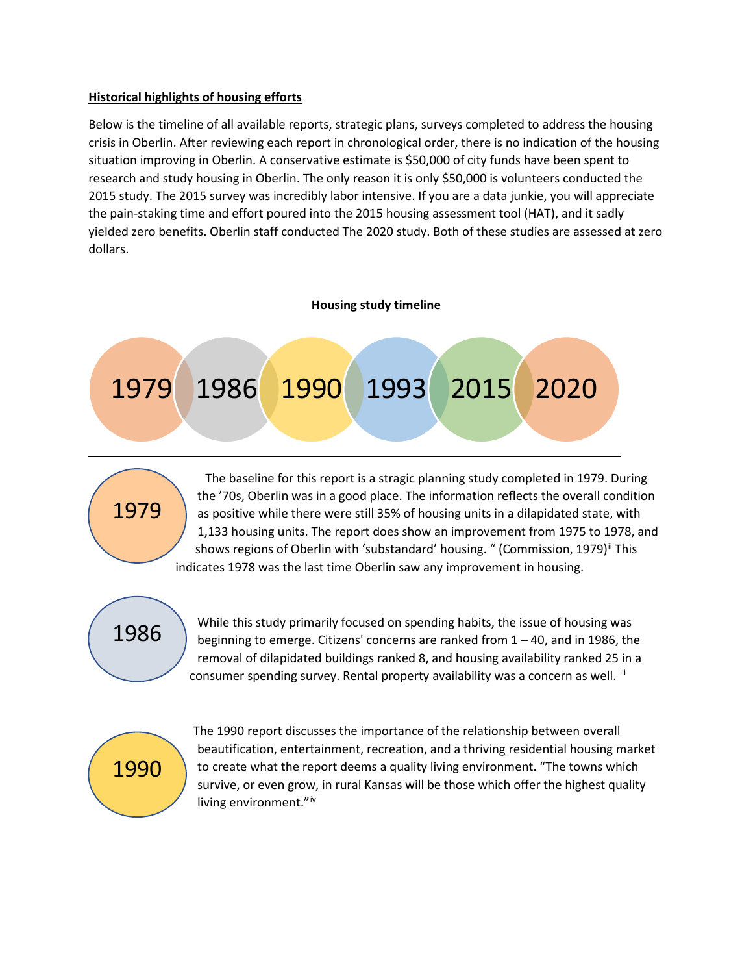#### **Historical highlights of housing efforts**

Below is the timeline of all available reports, strategic plans, surveys completed to address the housing crisis in Oberlin. After reviewing each report in chronological order, there is no indication of the housing situation improving in Oberlin. A conservative estimate is \$50,000 of city funds have been spent to research and study housing in Oberlin. The only reason it is only \$50,000 is volunteers conducted the 2015 study. The 2015 survey was incredibly labor intensive. If you are a data junkie, you will appreciate the pain-staking time and effort poured into the 2015 housing assessment tool (HAT), and it sadly yielded zero benefits. Oberlin staff conducted The 2020 study. Both of these studies are assessed at zero dollars.

#### **Housing study timeline**





 The baseline for this report is a stragic planning study completed in 1979. During the '70s, Oberlin was in a good place. The information reflects the overall condition as positive while there were still 35% of housing units in a dilapidated state, with 1,133 housing units. The report does show an improvement from 1975 to 1978, and shows regions of Oberlin with 'substandard' housing. " (Commission, 1979)<sup>[ii](#page-7-1)</sup> This indicates 1978 was the last time Oberlin saw any improvement in housing.

# 1986

While this study primarily focused on spending habits, the issue of housing was beginning to emerge. Citizens' concerns are ranked from 1 – 40, and in 1986, the removal of dilapidated buildings ranked 8, and housing availability ranked 25 in a consumer spending survey. Rental property availability was a concern as well. [iii](#page-7-2)



 The 1990 report discusses the importance of the relationship between overall beautification, entertainment, recreation, and a thriving residential housing market to create what the report deems a quality living environment. "The towns which survive, or even grow, in rural Kansas will be those which offer the highest quality l[iv](#page-7-3)ing environment."<sup>iv</sup>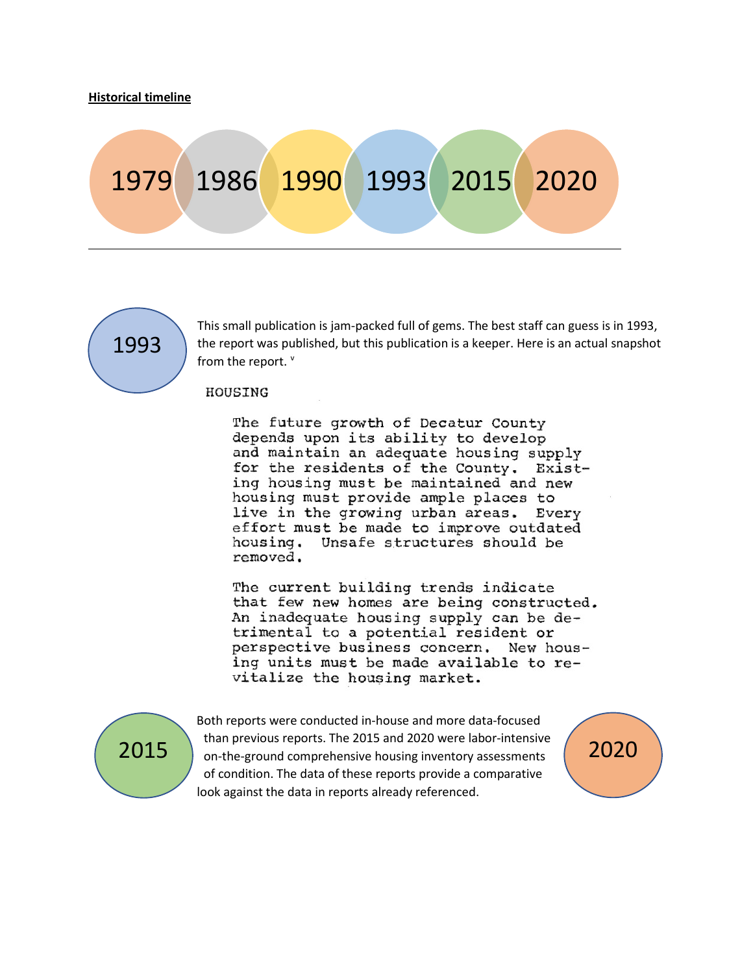# 1979 1986 1990 1993 2015 2020



This small publication is jam-packed full of gems. The best staff can guess is in 1993, the report was published, but this publication is a keeper. Here is an actual snapshot from the report.  $V$ 

#### HOUSING

The future growth of Decatur County depends upon its ability to develop and maintain an adequate housing supply for the residents of the County. Existing housing must be maintained and new housing must provide ample places to live in the growing urban areas. Every effort must be made to improve outdated housing. Unsafe structures should be removed.

The current building trends indicate that few new homes are being constructed. An inadequate housing supply can be detrimental to a potential resident or perspective business concern. New housing units must be made available to revitalize the housing market.



Both reports were conducted in-house and more data-focused than previous reports. The 2015 and 2020 were labor-intensive 2015 and the-ground comprehensive housing inventory assessments 2020 of condition. The data of these reports provide a comparative look against the data in reports already referenced.

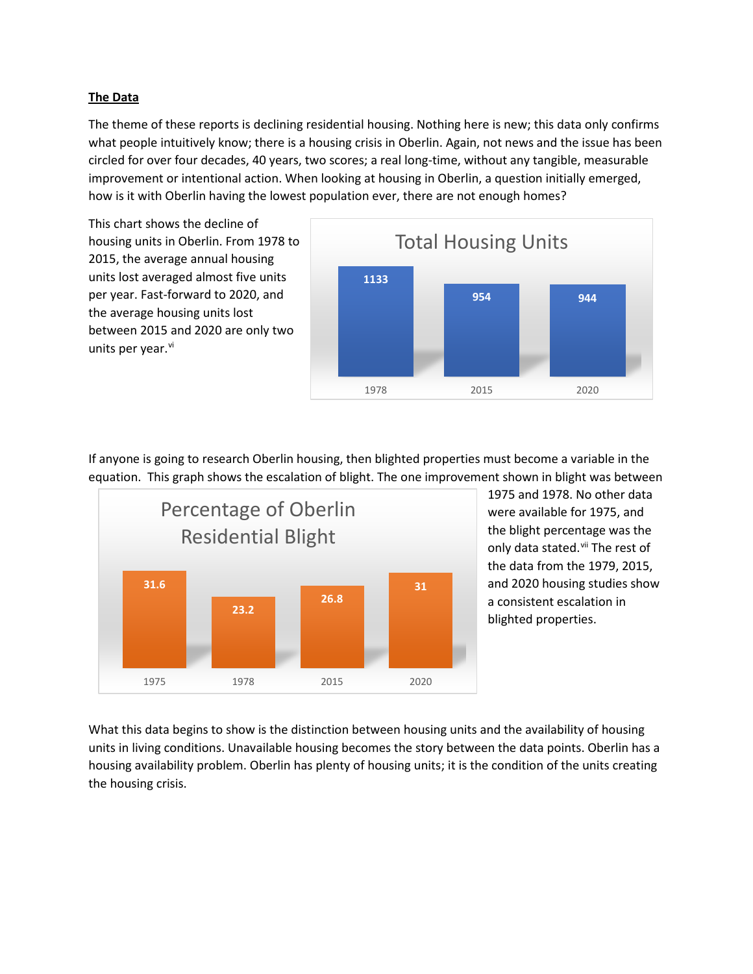#### **The Data**

The theme of these reports is declining residential housing. Nothing here is new; this data only confirms what people intuitively know; there is a housing crisis in Oberlin. Again, not news and the issue has been circled for over four decades, 40 years, two scores; a real long-time, without any tangible, measurable improvement or intentional action. When looking at housing in Oberlin, a question initially emerged, how is it with Oberlin having the lowest population ever, there are not enough homes?

This chart shows the decline of housing units in Oberlin. From 1978 to 2015, the average annual housing units lost averaged almost five units per year. Fast-forward to 2020, and the average housing units lost between 2015 and 2020 are only two units per year.<sup>vi</sup>



If anyone is going to research Oberlin housing, then blighted properties must become a variable in the equation. This graph shows the escalation of blight. The one improvement shown in blight was between



1975 and 1978. No other data were available for 1975, and the blight percentage was the only data stated. Vii The rest of the data from the 1979, 2015, and 2020 housing studies show a consistent escalation in blighted properties.

What this data begins to show is the distinction between housing units and the availability of housing units in living conditions. Unavailable housing becomes the story between the data points. Oberlin has a housing availability problem. Oberlin has plenty of housing units; it is the condition of the units creating the housing crisis.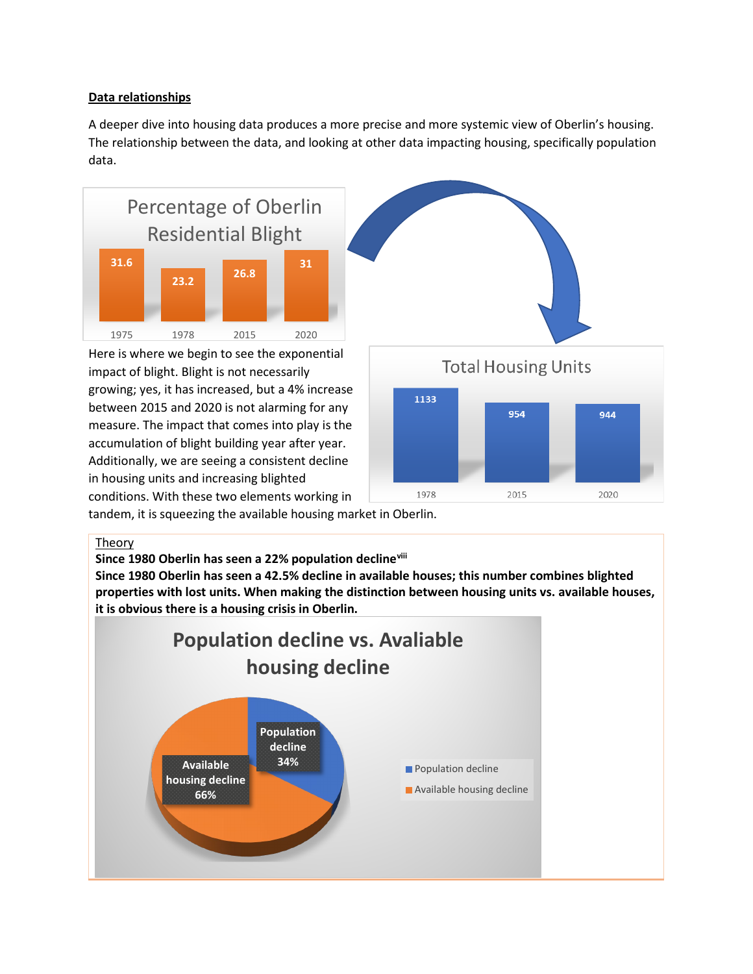#### **Data relationships**

A deeper dive into housing data produces a more precise and more systemic view of Oberlin's housing. The relationship between the data, and looking at other data impacting housing, specifically population data.



Here is where we begin to see the exponential impact of blight. Blight is not necessarily growing; yes, it has increased, but a 4% increase between 2015 and 2020 is not alarming for any measure. The impact that comes into play is the accumulation of blight building year after year. Additionally, we are seeing a consistent decline in housing units and increasing blighted conditions. With these two elements working in



2015

2020

tandem, it is squeezing the available housing market in Oberlin.

#### Theory

**Since 1980 Oberlin has seen a 22% population decline[viii](#page-7-7)**

**Since 1980 Oberlin has seen a 42.5% decline in available houses; this number combines blighted properties with lost units. When making the distinction between housing units vs. available houses, it is obvious there is a housing crisis in Oberlin.**

1978